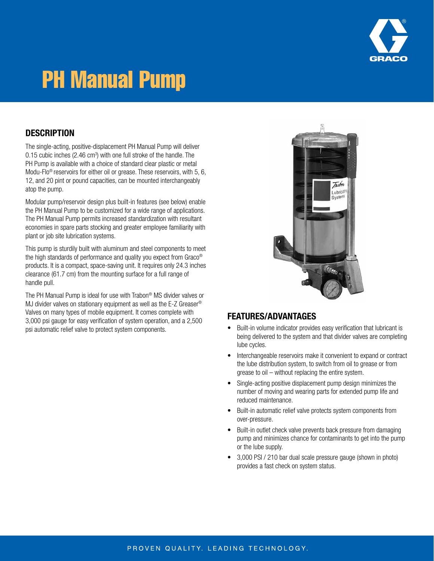

# PH Manual Pump

#### **DESCRIPTION**

The single-acting, positive-displacement PH Manual Pump will deliver  $0.15$  cubic inches (2.46 cm<sup>3</sup>) with one full stroke of the handle. The PH Pump is available with a choice of standard clear plastic or metal Modu-Flo® reservoirs for either oil or grease. These reservoirs, with 5, 6, 12, and 20 pint or pound capacities, can be mounted interchangeably atop the pump.

Modular pump/reservoir design plus built-in features (see below) enable the PH Manual Pump to be customized for a wide range of applications. The PH Manual Pump permits increased standardization with resultant economies in spare parts stocking and greater employee familiarity with plant or job site lubrication systems.

This pump is sturdily built with aluminum and steel components to meet the high standards of performance and quality you expect from Graco® products. It is a compact, space-saving unit. It requires only 24.3 inches clearance (61.7 cm) from the mounting surface for a full range of handle pull.

The PH Manual Pump is ideal for use with Trabon® MS divider valves or MJ divider valves on stationary equipment as well as the E-Z Greaser® Valves on many types of mobile equipment. It comes complete with 3,000 psi gauge for easy verification of system operation, and a 2,500 psi automatic relief valve to protect system components.



#### FEATURES/ADVANTAGES

- Built-in volume indicator provides easy verification that lubricant is being delivered to the system and that divider valves are completing lube cycles.
- Interchangeable reservoirs make it convenient to expand or contract the lube distribution system, to switch from oil to grease or from grease to oil – without replacing the entire system.
- Single-acting positive displacement pump design minimizes the number of moving and wearing parts for extended pump life and reduced maintenance.
- Built-in automatic relief valve protects system components from over-pressure.
- Built-in outlet check valve prevents back pressure from damaging pump and minimizes chance for contaminants to get into the pump or the lube supply.
- 3,000 PSI / 210 bar dual scale pressure gauge (shown in photo) provides a fast check on system status.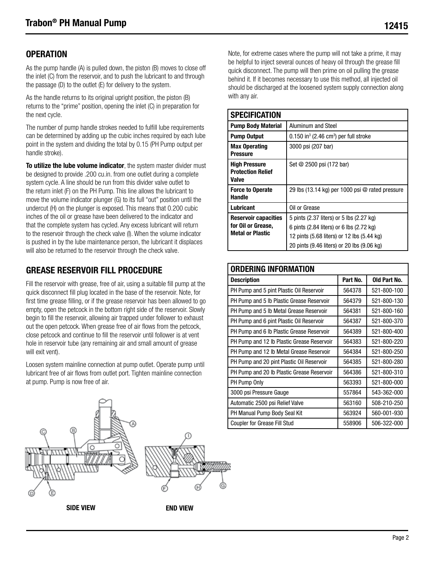## **OPERATION**

As the pump handle (A) is pulled down, the piston (B) moves to close off the inlet (C) from the reservoir, and to push the lubricant to and through the passage (D) to the outlet (E) for delivery to the system.

As the handle returns to its original upright position, the piston (B) returns to the "prime" position, opening the inlet (C) in preparation for the next cycle.

The number of pump handle strokes needed to fulfill lube requirements can be determined by adding up the cubic inches required by each lube point in the system and dividing the total by 0.15 (PH Pump output per handle stroke).

To utilize the lube volume indicator, the system master divider must be designed to provide .200 cu.in. from one outlet during a complete system cycle. A line should be run from this divider valve outlet to the return inlet (F) on the PH Pump. This line allows the lubricant to move the volume indicator plunger (G) to its full "out" position until the undercut (H) on the plunger is exposed. This means that 0.200 cubic inches of the oil or grease have been delivered to the indicator and that the complete system has cycled. Any excess lubricant will return to the reservoir through the check valve (I). When the volume indicator is pushed in by the lube maintenance person, the lubricant it displaces will also be returned to the reservoir through the check valve.

## GREASE RESERVOIR FILL PROCEDURE

Fill the reservoir with grease, free of air, using a suitable fill pump at the quick disconnect fill plug located in the base of the reservoir. Note, for first time grease filling, or if the grease reservoir has been allowed to go empty, open the petcock in the bottom right side of the reservoir. Slowly begin to fill the reservoir, allowing air trapped under follower to exhaust out the open petcock. When grease free of air flows from the petcock, close petcock and continue to fill the reservoir until follower is at vent hole in reservoir tube (any remaining air and small amount of grease will exit vent).

Loosen system mainline connection at pump outlet. Operate pump until lubricant free of air flows from outlet port. Tighten mainline connection at pump. Pump is now free of air.



Note, for extreme cases where the pump will not take a prime, it may be helpful to inject several ounces of heavy oil through the grease fill quick disconnect. The pump will then prime on oil pulling the grease behind it. If it becomes necessary to use this method, all injected oil should be discharged at the loosened system supply connection along with any air.

| <b>SPECIFICATION</b>                                                         |                                                                                                                                                                                  |
|------------------------------------------------------------------------------|----------------------------------------------------------------------------------------------------------------------------------------------------------------------------------|
| <b>Pump Body Material</b>                                                    | Aluminum and Steel                                                                                                                                                               |
| <b>Pump Output</b>                                                           | $0.150$ in <sup>3</sup> (2.46 cm <sup>3</sup> ) per full stroke                                                                                                                  |
| <b>Max Operating</b><br>Pressure                                             | 3000 psi (207 bar)                                                                                                                                                               |
| <b>High Pressure</b><br><b>Protection Relief</b><br>Valve                    | Set @ 2500 psi (172 bar)                                                                                                                                                         |
| <b>Force to Operate</b><br><b>Handle</b>                                     | 29 lbs $(13.14 \text{ kg})$ per 1000 psi $@$ rated pressure                                                                                                                      |
| Lubricant                                                                    | Oil or Grease                                                                                                                                                                    |
| <b>Reservoir capacities</b><br>for Oil or Grease,<br><b>Metal or Plastic</b> | 5 pints (2.37 liters) or 5 lbs (2.27 kg)<br>6 pints (2.84 liters) or 6 lbs (2.72 kg)<br>12 pints (5.68 liters) or 12 lbs (5.44 kg)<br>20 pints (9.46 liters) or 20 lbs (9.06 kg) |

| <b>ORDERING INFORMATION</b>                |          |              |  |  |
|--------------------------------------------|----------|--------------|--|--|
| <b>Description</b>                         | Part No. | Old Part No. |  |  |
| PH Pump and 5 pint Plastic Oil Reservoir   | 564378   | 521-800-100  |  |  |
| PH Pump and 5 lb Plastic Grease Reservoir  | 564379   | 521-800-130  |  |  |
| PH Pump and 5 lb Metal Grease Reservoir    | 564381   | 521-800-160  |  |  |
| PH Pump and 6 pint Plastic Oil Reservoir   | 564387   | 521-800-370  |  |  |
| PH Pump and 6 lb Plastic Grease Reservoir  | 564389   | 521-800-400  |  |  |
| PH Pump and 12 lb Plastic Grease Reservoir | 564383   | 521-800-220  |  |  |
| PH Pump and 12 lb Metal Grease Reservoir   | 564384   | 521-800-250  |  |  |
| PH Pump and 20 pint Plastic Oil Reservoir  | 564385   | 521-800-280  |  |  |
| PH Pump and 20 lb Plastic Grease Reservoir | 564386   | 521-800-310  |  |  |
| PH Pump Only                               | 563393   | 521-800-000  |  |  |
| 3000 psi Pressure Gauge                    | 557864   | 543-362-000  |  |  |
| Automatic 2500 psi Relief Valve            | 563160   | 508-210-250  |  |  |
| PH Manual Pump Body Seal Kit               | 563924   | 560-001-930  |  |  |
| <b>Coupler for Grease Fill Stud</b>        | 558906   | 506-322-000  |  |  |

SIDE VIEW **END VIEW**